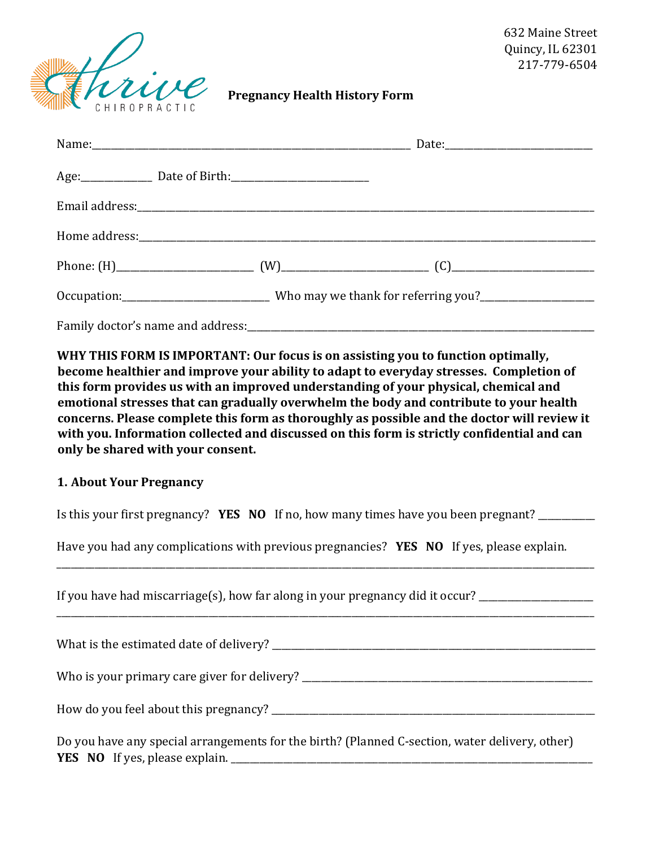

632 Maine Street Quincy, IL 62301 217-779-6504

**Pregnancy Health History Form** 

| Age: Date of Birth: 2000 2010 2010 2020 2031                                                        |  |
|-----------------------------------------------------------------------------------------------------|--|
|                                                                                                     |  |
|                                                                                                     |  |
|                                                                                                     |  |
| Occupation: _______________________________Who may we thank for referring you?_____________________ |  |
| Family doctor's name and address:                                                                   |  |

**WHY THIS FORM IS IMPORTANT: Our focus is on assisting you to function optimally, become healthier and improve your ability to adapt to everyday stresses. Completion of this form provides us with an improved understanding of your physical, chemical and emotional stresses that can gradually overwhelm the body and contribute to your health concerns. Please complete this form as thoroughly as possible and the doctor will review it with you. Information collected and discussed on this form is strictly confidential and can only be shared with your consent.** 

#### **1. About Your Pregnancy**

Is this your first pregnancy? **YES NO** If no, how many times have you been pregnant? \_\_\_\_\_\_\_\_\_\_\_\_

Have you had any complications with previous pregnancies? **YES NO** If yes, please explain.

\_\_\_\_\_\_\_\_\_\_\_\_\_\_\_\_\_\_\_\_\_\_\_\_\_\_\_\_\_\_\_\_\_\_\_\_\_\_\_\_\_\_\_\_\_\_\_\_\_\_\_\_\_\_\_\_\_\_\_\_\_\_\_\_\_\_\_\_\_\_\_\_\_\_\_\_\_\_\_\_\_\_\_\_\_\_\_\_\_\_\_\_\_\_\_\_\_\_\_\_\_\_\_\_\_\_\_\_\_\_\_\_\_

\_\_\_\_\_\_\_\_\_\_\_\_\_\_\_\_\_\_\_\_\_\_\_\_\_\_\_\_\_\_\_\_\_\_\_\_\_\_\_\_\_\_\_\_\_\_\_\_\_\_\_\_\_\_\_\_\_\_\_\_\_\_\_\_\_\_\_\_\_\_\_\_\_\_\_\_\_\_\_\_\_\_\_\_\_\_\_\_\_\_\_\_\_\_\_\_\_\_\_\_\_\_\_\_\_\_\_\_\_\_\_\_\_

If you have had miscarriage(s), how far along in your pregnancy did it occur?  $\frac{1}{\sqrt{2}}$ 

What is the estimated date of delivery? \_\_\_\_\_\_\_\_\_\_\_\_\_\_\_\_\_\_\_\_\_\_\_\_\_\_\_\_\_\_\_\_\_\_\_\_\_\_\_\_\_\_\_\_\_\_\_\_\_\_\_\_\_\_\_\_\_\_\_\_\_\_\_\_\_\_\_\_

Who is your primary care giver for delivery? \_\_\_\_\_\_\_\_\_\_\_\_\_\_\_\_\_\_\_\_\_\_\_\_\_\_\_\_\_\_\_\_\_\_\_\_\_\_\_\_\_\_\_\_\_\_\_\_\_\_\_\_\_\_\_\_\_\_\_\_\_

How do you feel about this pregnancy?

|  |                                       |  | Do you have any special arrangements for the birth? (Planned C-section, water delivery, other) |
|--|---------------------------------------|--|------------------------------------------------------------------------------------------------|
|  | <b>YES NO</b> If yes, please explain. |  |                                                                                                |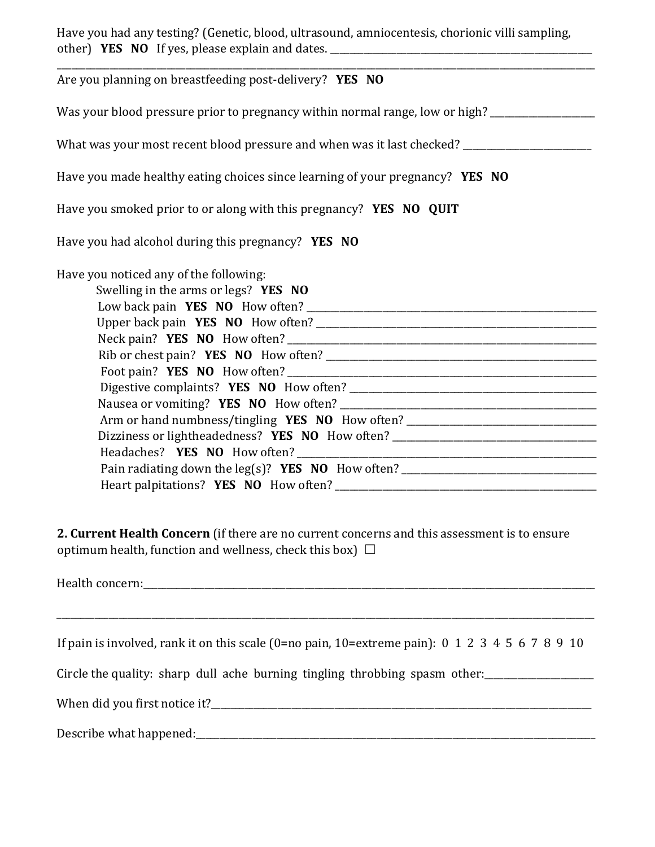Have you had any testing? (Genetic, blood, ultrasound, amniocentesis, chorionic villi sampling, other) **YES NO** If yes, please explain and dates. \_\_\_\_\_\_\_\_\_\_\_\_\_\_\_\_\_\_\_\_\_\_\_\_\_\_\_\_\_\_\_\_\_\_\_\_\_\_\_\_\_\_\_\_\_\_\_\_\_\_\_\_\_\_\_

| Are you planning on breastfeeding post-delivery? YES NO                                                                                                                                                                                                |
|--------------------------------------------------------------------------------------------------------------------------------------------------------------------------------------------------------------------------------------------------------|
| Was your blood pressure prior to pregnancy within normal range, low or high? ______________________                                                                                                                                                    |
| What was your most recent blood pressure and when was it last checked? _____________________________                                                                                                                                                   |
| Have you made healthy eating choices since learning of your pregnancy? YES NO                                                                                                                                                                          |
| Have you smoked prior to or along with this pregnancy? YES NO QUIT                                                                                                                                                                                     |
| Have you had alcohol during this pregnancy? <b>YES NO</b>                                                                                                                                                                                              |
| Have you noticed any of the following:<br>Swelling in the arms or legs? YES NO<br>Arm or hand numbness/tingling YES NO How often? ________________________________<br>Dizziness or lightheadedness? YES NO How often? ________________________________ |

**2. Current Health Concern** (if there are no current concerns and this assessment is to ensure optimum health, function and wellness, check this box)  $\Box$ 

Health concern: which is a set of the set of the set of the set of the set of the set of the set of the set of the set of the set of the set of the set of the set of the set of the set of the set of the set of the set of t

\_\_\_\_\_\_\_\_\_\_\_\_\_\_\_\_\_\_\_\_\_\_\_\_\_\_\_\_\_\_\_\_\_\_\_\_\_\_\_\_\_\_\_\_\_\_\_\_\_\_\_\_\_\_\_\_\_\_\_\_\_\_\_\_\_\_\_\_\_\_\_\_\_\_\_\_\_\_\_\_\_\_\_\_\_\_\_\_\_\_\_\_\_\_\_\_\_\_\_\_\_\_\_\_\_\_\_\_\_\_\_\_\_

Circle the quality: sharp dull ache burning tingling throbbing spasm other:

When did you first notice it?<br>

Describe what happened:\_\_\_\_\_\_\_\_\_\_\_\_\_\_\_\_\_\_\_\_\_\_\_\_\_\_\_\_\_\_\_\_\_\_\_\_\_\_\_\_\_\_\_\_\_\_\_\_\_\_\_\_\_\_\_\_\_\_\_\_\_\_\_\_\_\_\_\_\_\_\_\_\_\_\_\_\_\_\_\_\_\_\_\_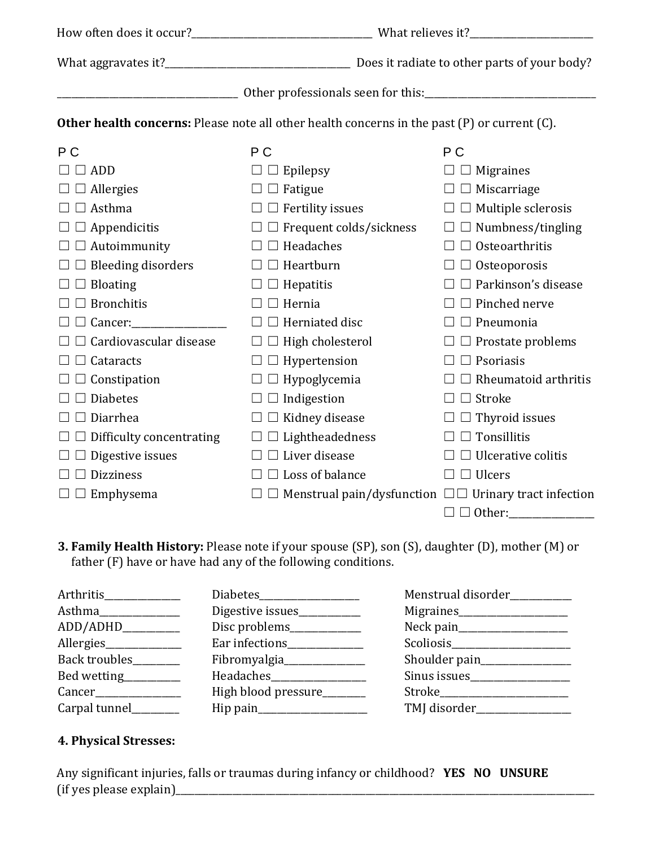| <b>Other health concerns:</b> Please note all other health concerns in the past (P) or current (C). |                                                                  |                             |  |
|-----------------------------------------------------------------------------------------------------|------------------------------------------------------------------|-----------------------------|--|
| P <sub>C</sub>                                                                                      | P <sub>C</sub>                                                   | P C                         |  |
| $\Box$ ADD                                                                                          | $\Box$ Epilepsy                                                  | $\Box$ Migraines            |  |
| $\Box$ Allergies                                                                                    | $\Box$ Fatigue                                                   | $\Box$ Miscarriage          |  |
| $\Box$ Asthma                                                                                       | $\Box$ Fertility issues                                          | $\Box$ Multiple sclerosis   |  |
| $\Box$ Appendicitis                                                                                 | $\Box$ Frequent colds/sickness                                   | $\square$ Numbness/tingling |  |
| $\Box$ $\Box$ Autoimmunity                                                                          | $\Box$ Headaches                                                 | $\Box$ Osteoarthritis       |  |
| $\Box$ Bleeding disorders                                                                           | $\Box$ Heartburn                                                 | $\Box$ Osteoporosis         |  |
| $\Box$ Bloating                                                                                     | $\square \square$ Hepatitis                                      | $\Box$ Parkinson's disease  |  |
| <b>Bronchitis</b>                                                                                   | $\Box$ Hernia                                                    | $\Box$ Pinched nerve        |  |
|                                                                                                     | $\Box$ Herniated disc                                            | $\Box$ Pneumonia            |  |
| Cardiovascular disease                                                                              | $\Box$ High cholesterol                                          | $\Box$ Prostate problems    |  |
| $\Box$ Cataracts                                                                                    | $\Box$ Hypertension                                              | $\Box$ Psoriasis            |  |
| $\Box$ Constipation                                                                                 | $\Box$ Hypoglycemia                                              | $\Box$ Rheumatoid arthritis |  |
| <b>Diabetes</b>                                                                                     | $\Box$ Indigestion                                               | $\Box$ Stroke               |  |
| Diarrhea                                                                                            | Kidney disease                                                   | $\Box$ Thyroid issues       |  |
| Difficulty concentrating                                                                            | $\Box$ Lightheadedness                                           | Tonsillitis<br>$\perp$      |  |
| Digestive issues                                                                                    | $\Box$ $\Box$ Liver disease                                      | Ulcerative colitis          |  |
| Dizziness                                                                                           | $\Box$ Loss of balance                                           | $\Box$ Ulcers               |  |
| $\Box$ Emphysema                                                                                    | $\Box$ Menstrual pain/dysfunction $\Box$ Urinary tract infection |                             |  |
|                                                                                                     |                                                                  | $\Box$ Other:               |  |

# **3. Family Health History:** Please note if your spouse (SP), son (S), daughter (D), mother (M) or father (F) have or have had any of the following conditions.

| Arthritis              |                              | Menstrual disorder__________ |
|------------------------|------------------------------|------------------------------|
| Asthma                 | Digestive issues____________ | Migraines                    |
| ADD/ADHD_________      | Disc problems_____________   |                              |
| Allergies              | Ear infections__________     |                              |
| Back troubles_______   | Fibromyalgia                 |                              |
| Bed wetting_________   |                              |                              |
| Cancer________________ | High blood pressure______    | Stroke                       |
| Carpal tunnel_______   |                              | TMJ disorder___________      |

# **4. Physical Stresses:**

Any significant injuries, falls or traumas during infancy or childhood? **YES NO UNSURE**  $(i)$  (if yes please explain)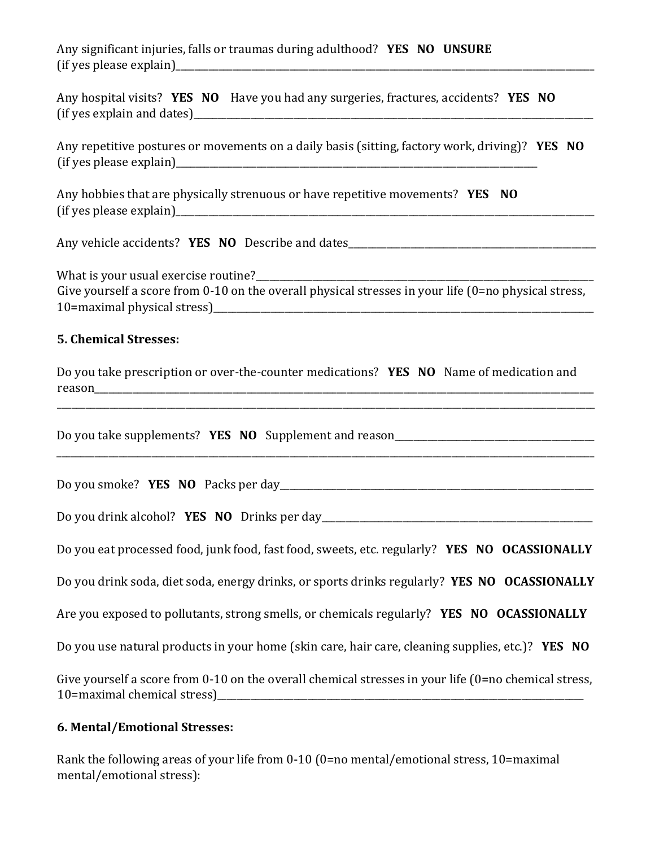Any significant injuries, falls or traumas during adulthood? **YES NO UNSURE**  $(i)$  (if yes please explain)

|                            | Any hospital visits? YES NO Have you had any surgeries, fractures, accidents? YES NO |  |
|----------------------------|--------------------------------------------------------------------------------------|--|
| (if yes explain and dates) |                                                                                      |  |

Any repetitive postures or movements on a daily basis (sitting, factory work, driving)? **YES NO** (if yes please explain)\_\_\_\_\_\_\_\_\_\_\_\_\_\_\_\_\_\_\_\_\_\_\_\_\_\_\_\_\_\_\_\_\_\_\_\_\_\_\_\_\_\_\_\_\_\_\_\_\_\_\_\_\_\_\_\_\_\_\_\_\_\_\_\_\_\_\_\_\_\_\_\_\_\_\_\_

Any hobbies that are physically strenuous or have repetitive movements? **YES NO**  $(i)$  (if yes please explain)

Any vehicle accidents? **YES NO** Describe and dates\_\_\_\_\_\_\_\_\_\_\_\_\_\_\_\_\_\_\_\_\_\_\_\_\_\_\_\_\_\_\_\_\_\_\_\_\_\_\_\_\_\_\_\_\_\_\_\_\_\_\_\_

What is your usual exercise routine? Give yourself a score from 0-10 on the overall physical stresses in your life (0=no physical stress, 10=maximal physical stress)

### **5. Chemical Stresses:**

| Do you take prescription or over-the-counter medications? YES NO Name of medication and |  |  |
|-----------------------------------------------------------------------------------------|--|--|
| reason                                                                                  |  |  |

\_\_\_\_\_\_\_\_\_\_\_\_\_\_\_\_\_\_\_\_\_\_\_\_\_\_\_\_\_\_\_\_\_\_\_\_\_\_\_\_\_\_\_\_\_\_\_\_\_\_\_\_\_\_\_\_\_\_\_\_\_\_\_\_\_\_\_\_\_\_\_\_\_\_\_\_\_\_\_\_\_\_\_\_\_\_\_\_\_\_\_\_\_\_\_\_\_\_\_\_\_\_\_\_\_\_\_\_\_\_\_\_\_

\_\_\_\_\_\_\_\_\_\_\_\_\_\_\_\_\_\_\_\_\_\_\_\_\_\_\_\_\_\_\_\_\_\_\_\_\_\_\_\_\_\_\_\_\_\_\_\_\_\_\_\_\_\_\_\_\_\_\_\_\_\_\_\_\_\_\_\_\_\_\_\_\_\_\_\_\_\_\_\_\_\_\_\_\_\_\_\_\_\_\_\_\_\_\_\_\_\_\_\_\_\_\_\_\_\_\_\_\_\_\_\_\_

Do you take supplements? **YES NO** Supplement and reason\_\_\_\_\_\_\_\_\_\_\_\_\_\_\_\_\_\_\_\_\_\_\_\_\_\_

Do you smoke? **YES NO** Packs per day\_\_\_\_\_\_\_\_\_\_\_\_\_\_\_\_\_\_\_\_\_\_\_\_\_\_\_\_\_\_\_\_\_\_\_\_\_\_\_\_\_\_\_\_\_\_\_\_\_\_\_\_\_\_\_\_\_\_\_\_\_\_\_\_\_\_

Do you drink alcohol? **YES NO** Drinks per day\_\_\_\_\_\_\_\_\_\_\_\_\_\_\_\_\_\_\_\_\_\_\_\_\_\_\_\_\_\_\_\_\_\_\_\_\_\_\_\_\_\_\_\_\_\_\_\_\_\_\_\_\_\_\_\_\_

Do you eat processed food, junk food, fast food, sweets, etc. regularly? **YES NO OCASSIONALLY**

Do you drink soda, diet soda, energy drinks, or sports drinks regularly? **YES NO OCASSIONALLY**

Are you exposed to pollutants, strong smells, or chemicals regularly? **YES NO OCASSIONALLY**

Do you use natural products in your home (skin care, hair care, cleaning supplies, etc.)? **YES NO**

Give yourself a score from 0-10 on the overall chemical stresses in your life (0=no chemical stress, 10=maximal chemical stress)\_\_\_\_\_\_\_\_\_\_\_\_\_\_\_\_\_\_\_\_\_\_\_\_\_\_\_\_\_\_\_\_\_\_\_\_\_\_\_\_\_\_\_\_\_\_\_\_\_\_\_\_\_\_\_\_\_\_\_\_\_\_\_\_\_\_\_\_\_\_\_\_\_\_\_\_\_

#### **6. Mental/Emotional Stresses:**

Rank the following areas of your life from 0-10 (0=no mental/emotional stress, 10=maximal mental/emotional stress):